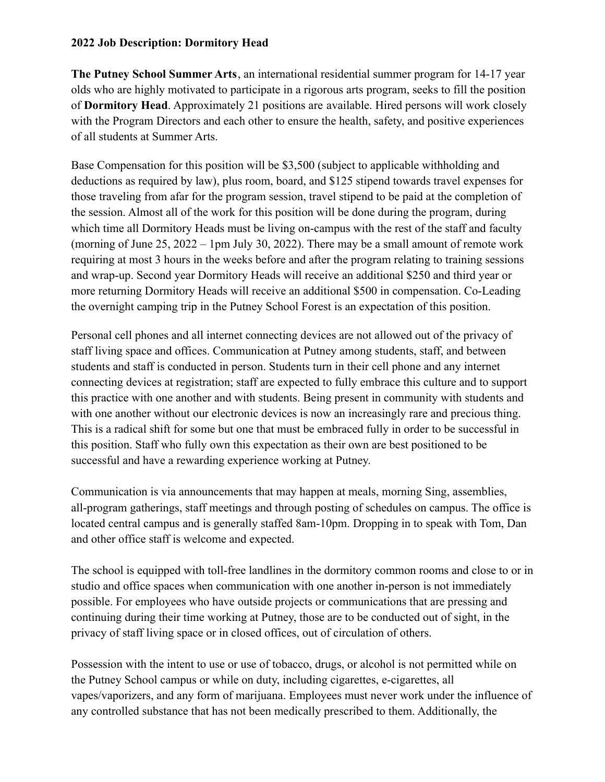### **2022 Job Description: Dormitory Head**

**The Putney School Summer Arts**, an international residential summer program for 14-17 year olds who are highly motivated to participate in a rigorous arts program, seeks to fill the position of **Dormitory Head**. Approximately 21 positions are available. Hired persons will work closely with the Program Directors and each other to ensure the health, safety, and positive experiences of all students at Summer Arts.

Base Compensation for this position will be \$3,500 (subject to applicable withholding and deductions as required by law), plus room, board, and \$125 stipend towards travel expenses for those traveling from afar for the program session, travel stipend to be paid at the completion of the session. Almost all of the work for this position will be done during the program, during which time all Dormitory Heads must be living on-campus with the rest of the staff and faculty (morning of June 25, 2022 – 1pm July 30, 2022). There may be a small amount of remote work requiring at most 3 hours in the weeks before and after the program relating to training sessions and wrap-up. Second year Dormitory Heads will receive an additional \$250 and third year or more returning Dormitory Heads will receive an additional \$500 in compensation. Co-Leading the overnight camping trip in the Putney School Forest is an expectation of this position.

Personal cell phones and all internet connecting devices are not allowed out of the privacy of staff living space and offices. Communication at Putney among students, staff, and between students and staff is conducted in person. Students turn in their cell phone and any internet connecting devices at registration; staff are expected to fully embrace this culture and to support this practice with one another and with students. Being present in community with students and with one another without our electronic devices is now an increasingly rare and precious thing. This is a radical shift for some but one that must be embraced fully in order to be successful in this position. Staff who fully own this expectation as their own are best positioned to be successful and have a rewarding experience working at Putney.

Communication is via announcements that may happen at meals, morning Sing, assemblies, all-program gatherings, staff meetings and through posting of schedules on campus. The office is located central campus and is generally staffed 8am-10pm. Dropping in to speak with Tom, Dan and other office staff is welcome and expected.

The school is equipped with toll-free landlines in the dormitory common rooms and close to or in studio and office spaces when communication with one another in-person is not immediately possible. For employees who have outside projects or communications that are pressing and continuing during their time working at Putney, those are to be conducted out of sight, in the privacy of staff living space or in closed offices, out of circulation of others.

Possession with the intent to use or use of tobacco, drugs, or alcohol is not permitted while on the Putney School campus or while on duty, including cigarettes, e-cigarettes, all vapes/vaporizers, and any form of marijuana. Employees must never work under the influence of any controlled substance that has not been medically prescribed to them. Additionally, the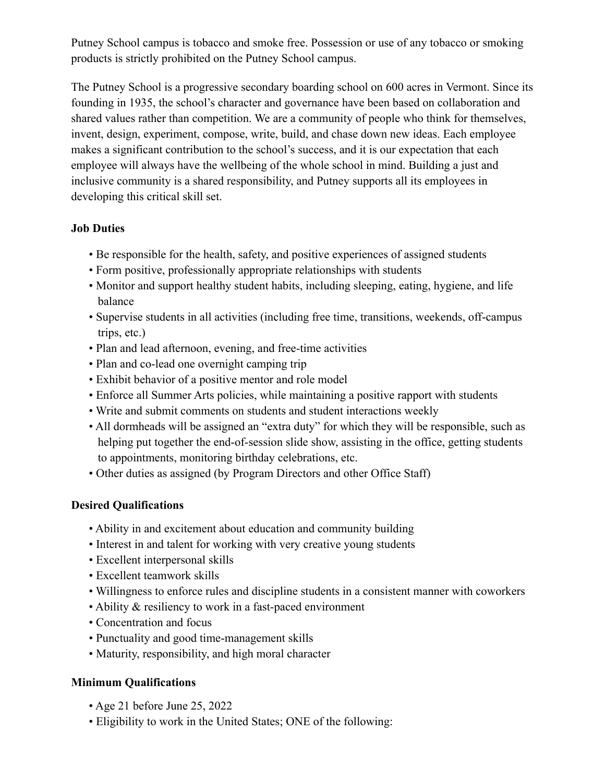Putney School campus is tobacco and smoke free. Possession or use of any tobacco or smoking products is strictly prohibited on the Putney School campus.

The Putney School is a progressive secondary boarding school on 600 acres in Vermont. Since its founding in 1935, the school's character and governance have been based on collaboration and shared values rather than competition. We are a community of people who think for themselves, invent, design, experiment, compose, write, build, and chase down new ideas. Each employee makes a significant contribution to the school's success, and it is our expectation that each employee will always have the wellbeing of the whole school in mind. Building a just and inclusive community is a shared responsibility, and Putney supports all its employees in developing this critical skill set.

## **Job Duties**

- Be responsible for the health, safety, and positive experiences of assigned students
- Form positive, professionally appropriate relationships with students
- Monitor and support healthy student habits, including sleeping, eating, hygiene, and life balance
- Supervise students in all activities (including free time, transitions, weekends, off-campus trips, etc.)
- Plan and lead afternoon, evening, and free-time activities
- Plan and co-lead one overnight camping trip
- Exhibit behavior of a positive mentor and role model
- Enforce all Summer Arts policies, while maintaining a positive rapport with students
- Write and submit comments on students and student interactions weekly
- All dormheads will be assigned an "extra duty" for which they will be responsible, such as helping put together the end-of-session slide show, assisting in the office, getting students to appointments, monitoring birthday celebrations, etc.
- Other duties as assigned (by Program Directors and other Office Staff)

## **Desired Qualifications**

- Ability in and excitement about education and community building
- Interest in and talent for working with very creative young students
- Excellent interpersonal skills
- Excellent teamwork skills
- Willingness to enforce rules and discipline students in a consistent manner with coworkers
- Ability & resiliency to work in a fast-paced environment
- Concentration and focus
- Punctuality and good time-management skills
- Maturity, responsibility, and high moral character

## **Minimum Qualifications**

- Age 21 before June 25, 2022
- Eligibility to work in the United States; ONE of the following: